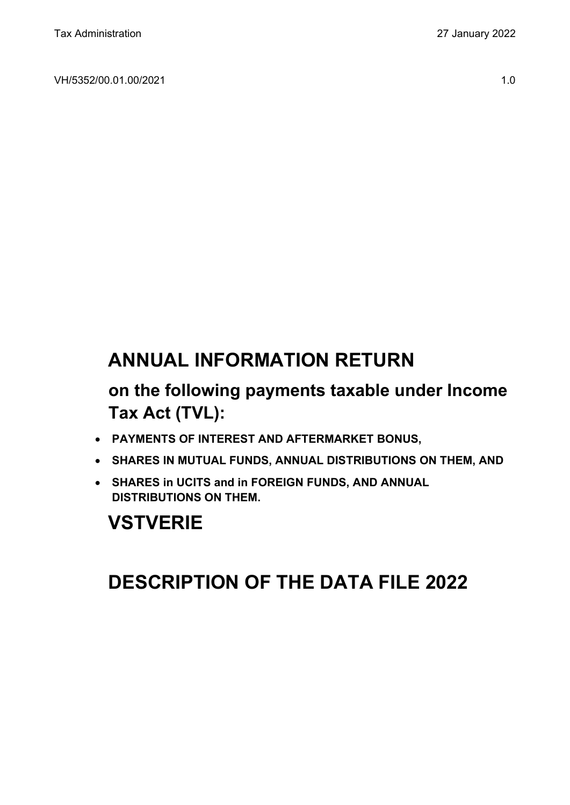VH/5352/00.01.00/2021 1.0

# **ANNUAL INFORMATION RETURN**

# **on the following payments taxable under Income Tax Act (TVL):**

- **PAYMENTS OF INTEREST AND AFTERMARKET BONUS,**
- **SHARES IN MUTUAL FUNDS, ANNUAL DISTRIBUTIONS ON THEM, AND**
- **SHARES in UCITS and in FOREIGN FUNDS, AND ANNUAL DISTRIBUTIONS ON THEM.**

# **VSTVERIE**

# **DESCRIPTION OF THE DATA FILE 2022**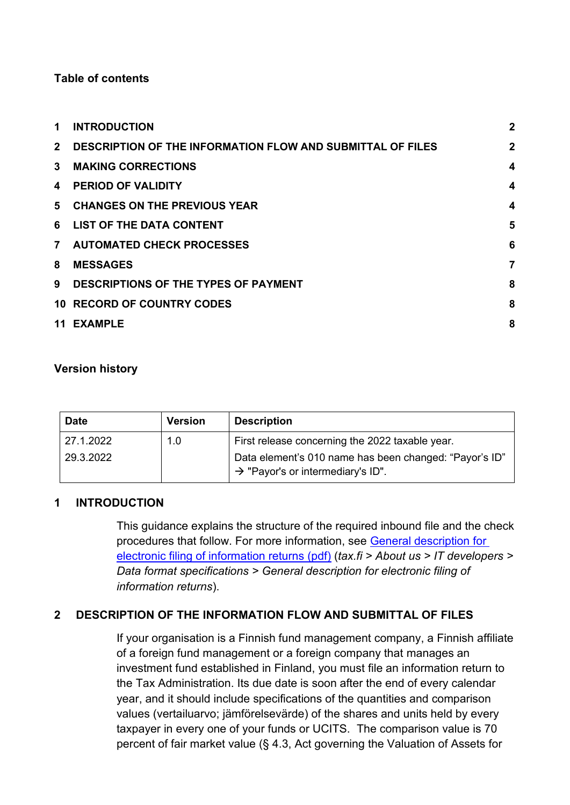## **Table of contents**

| 1              | <b>INTRODUCTION</b>                                               | $\overline{2}$          |
|----------------|-------------------------------------------------------------------|-------------------------|
| $2^{\circ}$    | <b>DESCRIPTION OF THE INFORMATION FLOW AND SUBMITTAL OF FILES</b> | $\mathbf 2$             |
| $3^{\circ}$    | <b>MAKING CORRECTIONS</b>                                         | $\overline{\mathbf{4}}$ |
| 4              | <b>PERIOD OF VALIDITY</b>                                         | $\overline{\mathbf{4}}$ |
|                | 5 CHANGES ON THE PREVIOUS YEAR                                    | $\overline{\mathbf{4}}$ |
|                | 6 LIST OF THE DATA CONTENT                                        | 5                       |
| 7 <sup>7</sup> | <b>AUTOMATED CHECK PROCESSES</b>                                  | 6                       |
| 8              | <b>MESSAGES</b>                                                   | 7                       |
| 9              | DESCRIPTIONS OF THE TYPES OF PAYMENT                              | 8                       |
|                | <b>10 RECORD OF COUNTRY CODES</b>                                 | 8                       |
|                | 11 EXAMPLE                                                        | 8                       |

## **Version history**

| <b>Date</b> | <b>Version</b> | <b>Description</b>                                                                                      |
|-------------|----------------|---------------------------------------------------------------------------------------------------------|
| 27.1.2022   | 1.0            | First release concerning the 2022 taxable year.                                                         |
| 29.3.2022   |                | Data element's 010 name has been changed: "Payor's ID"<br>$\rightarrow$ "Payor's or intermediary's ID". |

## <span id="page-1-0"></span>**1 INTRODUCTION**

This guidance explains the structure of the required inbound file and the check procedures that follow. For more information, see [General description for](https://www.vero.fi/globalassets/tietoa-verohallinnosta/ohjelmistokehittajille/finnish-tax-administration_electronic-filing-of-information-returns-general-description.pdf)  [electronic filing of information returns \(pdf\)](https://www.vero.fi/globalassets/tietoa-verohallinnosta/ohjelmistokehittajille/finnish-tax-administration_electronic-filing-of-information-returns-general-description.pdf) (*tax.fi > About us > IT developers > Data format specifications > General description for electronic filing of information returns*).

# <span id="page-1-1"></span>**2 DESCRIPTION OF THE INFORMATION FLOW AND SUBMITTAL OF FILES**

If your organisation is a Finnish fund management company, a Finnish affiliate of a foreign fund management or a foreign company that manages an investment fund established in Finland, you must file an information return to the Tax Administration. Its due date is soon after the end of every calendar year, and it should include specifications of the quantities and comparison values (vertailuarvo; jämförelsevärde) of the shares and units held by every taxpayer in every one of your funds or UCITS. The comparison value is 70 percent of fair market value (§ 4.3, Act governing the Valuation of Assets for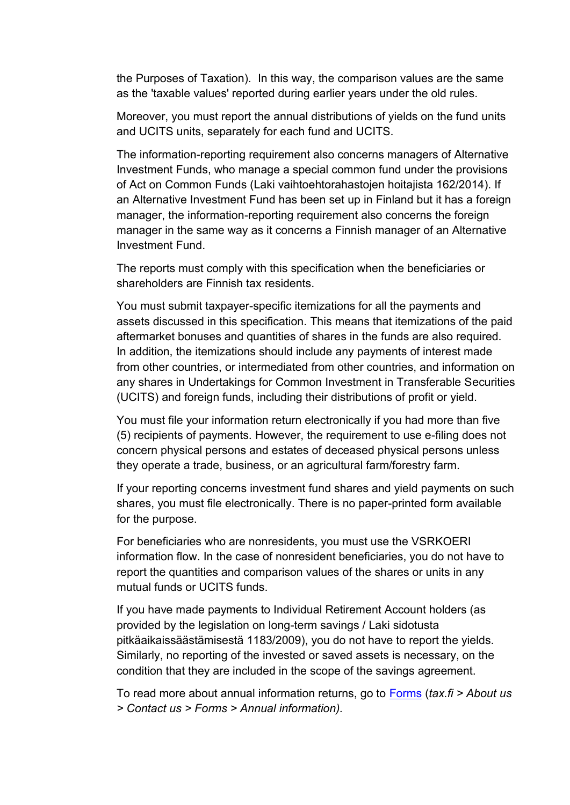the Purposes of Taxation). In this way, the comparison values are the same as the 'taxable values' reported during earlier years under the old rules.

Moreover, you must report the annual distributions of yields on the fund units and UCITS units, separately for each fund and UCITS.

The information-reporting requirement also concerns managers of Alternative Investment Funds, who manage a special common fund under the provisions of Act on Common Funds (Laki vaihtoehtorahastojen hoitajista 162/2014). If an Alternative Investment Fund has been set up in Finland but it has a foreign manager, the information-reporting requirement also concerns the foreign manager in the same way as it concerns a Finnish manager of an Alternative Investment Fund.

The reports must comply with this specification when the beneficiaries or shareholders are Finnish tax residents.

You must submit taxpayer-specific itemizations for all the payments and assets discussed in this specification. This means that itemizations of the paid aftermarket bonuses and quantities of shares in the funds are also required. In addition, the itemizations should include any payments of interest made from other countries, or intermediated from other countries, and information on any shares in Undertakings for Common Investment in Transferable Securities (UCITS) and foreign funds, including their distributions of profit or yield.

You must file your information return electronically if you had more than five (5) recipients of payments. However, the requirement to use e-filing does not concern physical persons and estates of deceased physical persons unless they operate a trade, business, or an agricultural farm/forestry farm.

If your reporting concerns investment fund shares and yield payments on such shares, you must file electronically. There is no paper-printed form available for the purpose.

For beneficiaries who are nonresidents, you must use the VSRKOERI information flow. In the case of nonresident beneficiaries, you do not have to report the quantities and comparison values of the shares or units in any mutual funds or UCITS funds.

If you have made payments to Individual Retirement Account holders (as provided by the legislation on long-term savings / Laki sidotusta pitkäaikaissäästämisestä 1183/2009), you do not have to report the yields. Similarly, no reporting of the invested or saved assets is necessary, on the condition that they are included in the scope of the savings agreement.

To read more about annual information returns, go to [Forms](https://www.vero.fi/en/About-us/contact-us/forms/) (*tax.fi > About us > Contact us > Forms > Annual information).*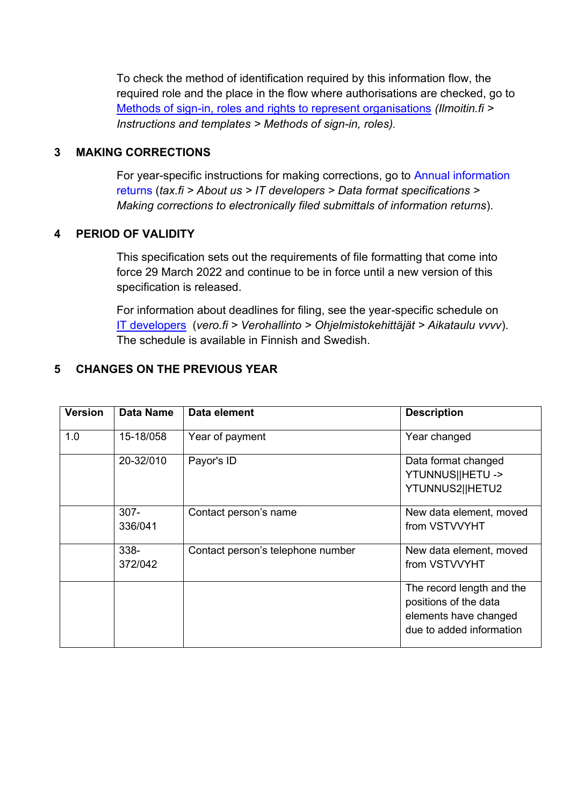To check the method of identification required by this information flow, the required role and the place in the flow where authorisations are checked, go to [Methods of sign-in, roles and rights to represent organisations](https://www.ilmoitin.fi/webtamo/sivut/IlmoituslajiRoolit?kieli=en&tv=VSTVERIE) *[\(Ilmoitin.fi >](https://www.ilmoitin.fi/webtamo/sivut/IlmoituslajiRoolit?kieli=en)  [Instructions and templates > Methods of sign-in, roles\)](https://www.ilmoitin.fi/webtamo/sivut/IlmoituslajiRoolit?kieli=en).*

## <span id="page-3-0"></span>**3 MAKING CORRECTIONS**

For year-specific instructions for making corrections, go to [Annual information](https://www.vero.fi/en/About-us/it_developer/data-format-specifications/annual_information_returns__instruction/)  [returns](https://www.vero.fi/en/About-us/it_developer/data-format-specifications/annual_information_returns__instruction/) (*tax.fi > About us > IT developers > Data format specifications > Making corrections to electronically filed submittals of information returns*).

## <span id="page-3-1"></span>**4 PERIOD OF VALIDITY**

This specification sets out the requirements of file formatting that come into force 29 March 2022 and continue to be in force until a new version of this specification is released

For information about deadlines for filing, see the year-specific schedule on [IT developers](https://www.vero.fi/tietoa-verohallinnosta/kehittaja/) (*vero.fi > Verohallinto > Ohjelmistokehittäjät > Aikataulu vvvv*). The schedule is available in Finnish and Swedish.

# <span id="page-3-2"></span>**5 CHANGES ON THE PREVIOUS YEAR**

| <b>Version</b> | <b>Data Name</b>   | Data element                      | <b>Description</b>                                                                                      |
|----------------|--------------------|-----------------------------------|---------------------------------------------------------------------------------------------------------|
| 1.0            | 15-18/058          | Year of payment                   | Year changed                                                                                            |
|                | 20-32/010          | Payor's ID                        | Data format changed<br>YTUNNUS  HETU -><br>YTUNNUS2  HETU2                                              |
|                | $307 -$<br>336/041 | Contact person's name             | New data element, moved<br>from VSTVVYHT                                                                |
|                | 338-<br>372/042    | Contact person's telephone number | New data element, moved<br>from VSTVVYHT                                                                |
|                |                    |                                   | The record length and the<br>positions of the data<br>elements have changed<br>due to added information |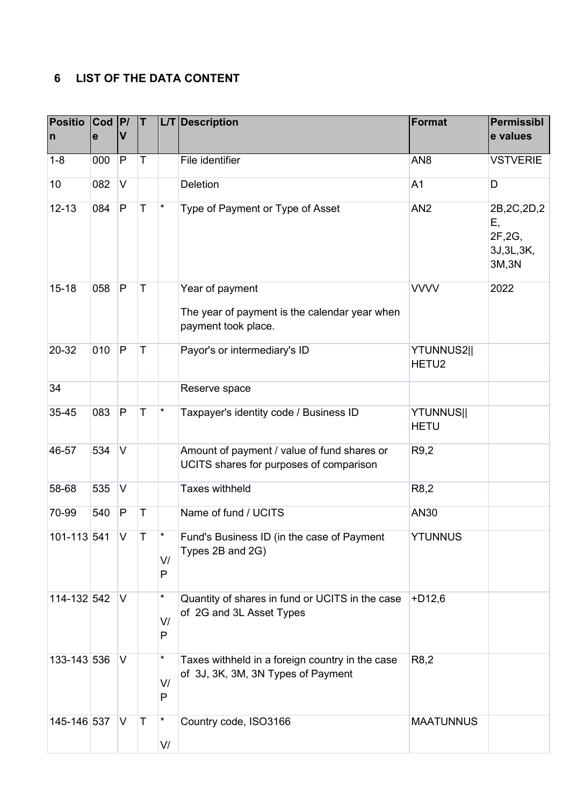# <span id="page-4-0"></span>**6 LIST OF THE DATA CONTENT**

| <b>Positio</b><br>$\mathsf{n}$ | $ $ Cod $ P $<br>$\mathbf e$ | V            | T       |              | L/T Description                                                                         | <b>Format</b>                   | Permissibl<br>e values                                 |
|--------------------------------|------------------------------|--------------|---------|--------------|-----------------------------------------------------------------------------------------|---------------------------------|--------------------------------------------------------|
| $1 - 8$                        | 000                          | $\mathsf{P}$ | Τ       |              | File identifier                                                                         | AN <sub>8</sub>                 | <b>VSTVERIE</b>                                        |
| 10                             | 082                          | $\mathsf{V}$ |         |              | <b>Deletion</b>                                                                         | A <sub>1</sub>                  | D                                                      |
| $12 - 13$                      | 084                          | $\vert P$    | $\sf T$ | $^\star$     | Type of Payment or Type of Asset                                                        | AN <sub>2</sub>                 | 2B, 2C, 2D, 2<br>Ε,<br>2F,2G,<br>3J, 3L, 3K,<br>3M, 3N |
| $15 - 18$                      | 058                          | $\vert P$    | T       |              | Year of payment<br>The year of payment is the calendar year when<br>payment took place. | <b>VVVV</b>                     | 2022                                                   |
| 20-32                          | 010                          | $\mathsf{P}$ | T       |              | Payor's or intermediary's ID                                                            | YTUNNUS2  <br>HETU <sub>2</sub> |                                                        |
| 34                             |                              |              |         |              | Reserve space                                                                           |                                 |                                                        |
| 35-45                          | 083                          | $\mathsf{P}$ | T       | $^\star$     | Taxpayer's identity code / Business ID                                                  | <b>YTUNNUS  </b><br><b>HETU</b> |                                                        |
| 46-57                          | 534                          | IV.          |         |              | Amount of payment / value of fund shares or<br>UCITS shares for purposes of comparison  | R9,2                            |                                                        |
| 58-68                          | 535                          | V            |         |              | <b>Taxes withheld</b>                                                                   | R8,2                            |                                                        |
| 70-99                          | 540                          | $\mathsf{P}$ | T       |              | Name of fund / UCITS                                                                    | AN30                            |                                                        |
| 101-113 541                    |                              | V            | T       | *<br>V/<br>P | Fund's Business ID (in the case of Payment<br>Types 2B and 2G)                          | <b>YTUNNUS</b>                  |                                                        |
| 114-132 542                    |                              | V            |         | *<br>V/<br>P | Quantity of shares in fund or UCITS in the case<br>of 2G and 3L Asset Types             | $+D12,6$                        |                                                        |
| 133-143 536                    |                              | V            |         | *<br>V/<br>P | Taxes withheld in a foreign country in the case<br>of 3J, 3K, 3M, 3N Types of Payment   | R <sub>8</sub> ,2               |                                                        |
| 145-146 537                    |                              | V            | $\top$  | *<br>V/      | Country code, ISO3166                                                                   | <b>MAATUNNUS</b>                |                                                        |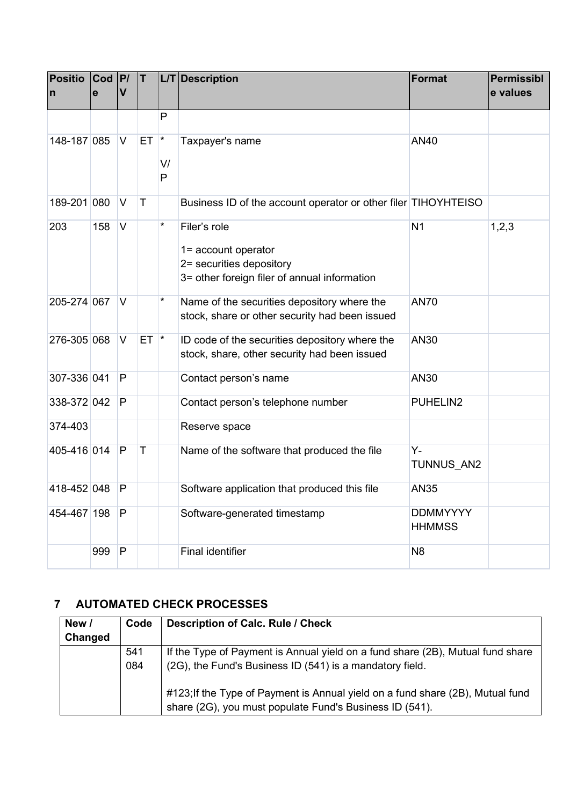| <b>Positio</b><br>$\mathsf{n}$ | $ $ Cod $ P $<br>$\mathbf{e}$ | V              | ΙT.          |         | L/T Description                                                                                                 | Format                           | <b>Permissibl</b><br>e values |
|--------------------------------|-------------------------------|----------------|--------------|---------|-----------------------------------------------------------------------------------------------------------------|----------------------------------|-------------------------------|
|                                |                               |                |              | P       |                                                                                                                 |                                  |                               |
| 148-187 085                    |                               | <b>V</b>       | $ET$ $*$     | V/<br>P | Taxpayer's name                                                                                                 | <b>AN40</b>                      |                               |
| 189-201 080                    |                               | $\overline{V}$ | $\mathsf{T}$ |         | Business ID of the account operator or other filer TIHOYHTEISO                                                  |                                  |                               |
| 203                            | 158                           | IV.            |              | $\star$ | Filer's role<br>1= account operator<br>2= securities depository<br>3= other foreign filer of annual information | N <sub>1</sub>                   | 1,2,3                         |
| 205-274 067                    |                               | $\overline{V}$ |              | $\star$ | Name of the securities depository where the<br>stock, share or other security had been issued                   | <b>AN70</b>                      |                               |
| 276-305 068                    |                               | V              | $ET$ $*$     |         | ID code of the securities depository where the<br>stock, share, other security had been issued                  | <b>AN30</b>                      |                               |
| 307-336 041                    |                               | P              |              |         | Contact person's name                                                                                           | <b>AN30</b>                      |                               |
| 338-372 042                    |                               | P              |              |         | Contact person's telephone number                                                                               | PUHELIN2                         |                               |
| 374-403                        |                               |                |              |         | Reserve space                                                                                                   |                                  |                               |
| 405-416 014                    |                               | P              | T            |         | Name of the software that produced the file                                                                     | $Y -$<br>TUNNUS AN2              |                               |
| 418-452 048                    |                               | P              |              |         | Software application that produced this file                                                                    | <b>AN35</b>                      |                               |
| 454-467 198                    |                               | P              |              |         | Software-generated timestamp                                                                                    | <b>DDMMYYYY</b><br><b>HHMMSS</b> |                               |
|                                | 999                           | P              |              |         | <b>Final identifier</b>                                                                                         | N <sub>8</sub>                   |                               |

# <span id="page-5-0"></span>**7 AUTOMATED CHECK PROCESSES**

| New /   | Code | Description of Calc. Rule / Check                                                                                                         |
|---------|------|-------------------------------------------------------------------------------------------------------------------------------------------|
| Changed |      |                                                                                                                                           |
|         | 541  | If the Type of Payment is Annual yield on a fund share (2B), Mutual fund share                                                            |
|         | 084  | (2G), the Fund's Business ID (541) is a mandatory field.                                                                                  |
|         |      | #123; If the Type of Payment is Annual yield on a fund share (2B), Mutual fund<br>share (2G), you must populate Fund's Business ID (541). |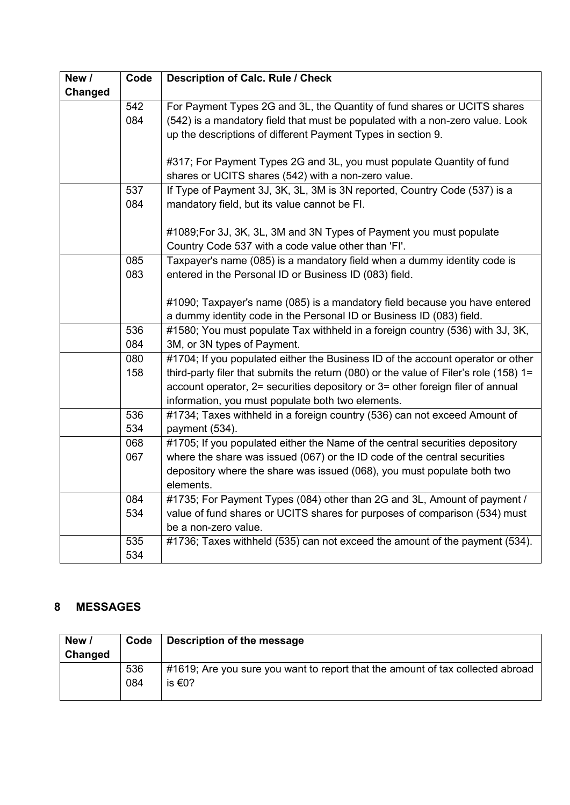| New /          | Code | <b>Description of Calc. Rule / Check</b>                                              |
|----------------|------|---------------------------------------------------------------------------------------|
| <b>Changed</b> |      |                                                                                       |
|                | 542  | For Payment Types 2G and 3L, the Quantity of fund shares or UCITS shares              |
|                | 084  | (542) is a mandatory field that must be populated with a non-zero value. Look         |
|                |      | up the descriptions of different Payment Types in section 9.                          |
|                |      |                                                                                       |
|                |      | #317; For Payment Types 2G and 3L, you must populate Quantity of fund                 |
|                |      | shares or UCITS shares (542) with a non-zero value.                                   |
|                | 537  | If Type of Payment 3J, 3K, 3L, 3M is 3N reported, Country Code (537) is a             |
|                | 084  | mandatory field, but its value cannot be FI.                                          |
|                |      |                                                                                       |
|                |      | #1089; For 3J, 3K, 3L, 3M and 3N Types of Payment you must populate                   |
|                |      | Country Code 537 with a code value other than 'FI'.                                   |
|                | 085  | Taxpayer's name (085) is a mandatory field when a dummy identity code is              |
|                | 083  | entered in the Personal ID or Business ID (083) field.                                |
|                |      |                                                                                       |
|                |      | #1090; Taxpayer's name (085) is a mandatory field because you have entered            |
|                |      | a dummy identity code in the Personal ID or Business ID (083) field.                  |
|                | 536  | #1580; You must populate Tax withheld in a foreign country (536) with 3J, 3K,         |
|                | 084  | 3M, or 3N types of Payment.                                                           |
|                | 080  | #1704; If you populated either the Business ID of the account operator or other       |
|                | 158  | third-party filer that submits the return (080) or the value of Filer's role (158) 1= |
|                |      | account operator, 2= securities depository or 3= other foreign filer of annual        |
|                |      | information, you must populate both two elements.                                     |
|                | 536  | #1734; Taxes withheld in a foreign country (536) can not exceed Amount of             |
|                | 534  | payment (534).                                                                        |
|                | 068  | #1705; If you populated either the Name of the central securities depository          |
|                | 067  | where the share was issued (067) or the ID code of the central securities             |
|                |      | depository where the share was issued (068), you must populate both two<br>elements.  |
|                | 084  | #1735; For Payment Types (084) other than 2G and 3L, Amount of payment /              |
|                | 534  | value of fund shares or UCITS shares for purposes of comparison (534) must            |
|                |      | be a non-zero value.                                                                  |
|                | 535  | #1736; Taxes withheld (535) can not exceed the amount of the payment (534).           |
|                |      |                                                                                       |
|                | 534  |                                                                                       |

# <span id="page-6-0"></span>**8 MESSAGES**

| New /<br>Changed | Code       | Description of the message                                                               |
|------------------|------------|------------------------------------------------------------------------------------------|
|                  | 536<br>084 | #1619; Are you sure you want to report that the amount of tax collected abroad<br>is €0? |
|                  |            |                                                                                          |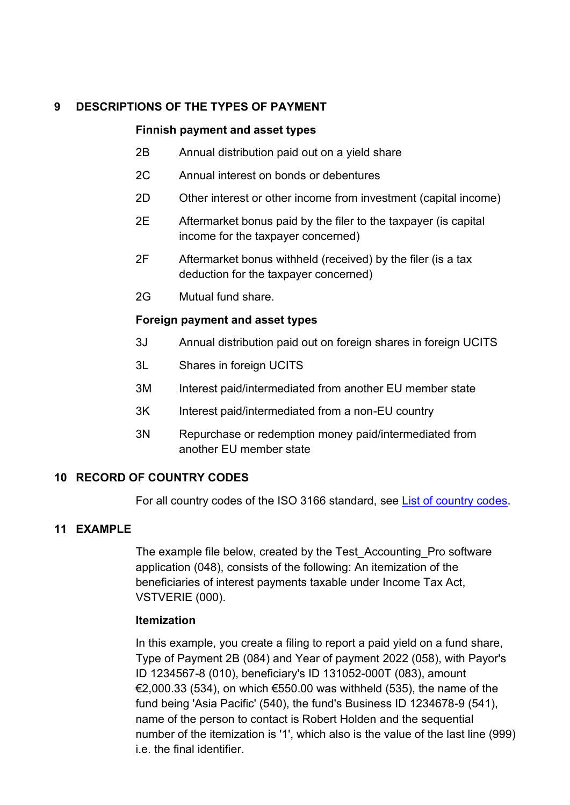## <span id="page-7-0"></span>**9 DESCRIPTIONS OF THE TYPES OF PAYMENT**

#### **Finnish payment and asset types**

- 2B Annual distribution paid out on a yield share
- 2C Annual interest on bonds or debentures
- 2D Other interest or other income from investment (capital income)
- 2E Aftermarket bonus paid by the filer to the taxpayer (is capital income for the taxpayer concerned)
- 2F Aftermarket bonus withheld (received) by the filer (is a tax deduction for the taxpayer concerned)
- 2G Mutual fund share.

### **Foreign payment and asset types**

- 3J Annual distribution paid out on foreign shares in foreign UCITS
- 3L Shares in foreign UCITS
- 3M Interest paid/intermediated from another EU member state
- 3K Interest paid/intermediated from a non-EU country
- 3N Repurchase or redemption money paid/intermediated from another EU member state

### <span id="page-7-1"></span>**10 RECORD OF COUNTRY CODES**

For all country codes of the ISO 3166 standard, see [List of country codes.](https://www.ilmoitin.fi/webtamo/sivut/ExcelPohjat?5-1.ILinkListener-apuvalineet-maatunnuslistaus_linkki&kieli=en)

### <span id="page-7-2"></span>**11 EXAMPLE**

The example file below, created by the Test\_Accounting\_Pro software application (048), consists of the following: An itemization of the beneficiaries of interest payments taxable under Income Tax Act, VSTVERIE (000).

### **Itemization**

In this example, you create a filing to report a paid yield on a fund share, Type of Payment 2B (084) and Year of payment 2022 (058), with Payor's ID 1234567-8 (010), beneficiary's ID 131052-000T (083), amount  $\epsilon$ 2,000.33 (534), on which  $\epsilon$ 550.00 was withheld (535), the name of the fund being 'Asia Pacific' (540), the fund's Business ID 1234678-9 (541), name of the person to contact is Robert Holden and the sequential number of the itemization is '1', which also is the value of the last line (999) i.e. the final identifier